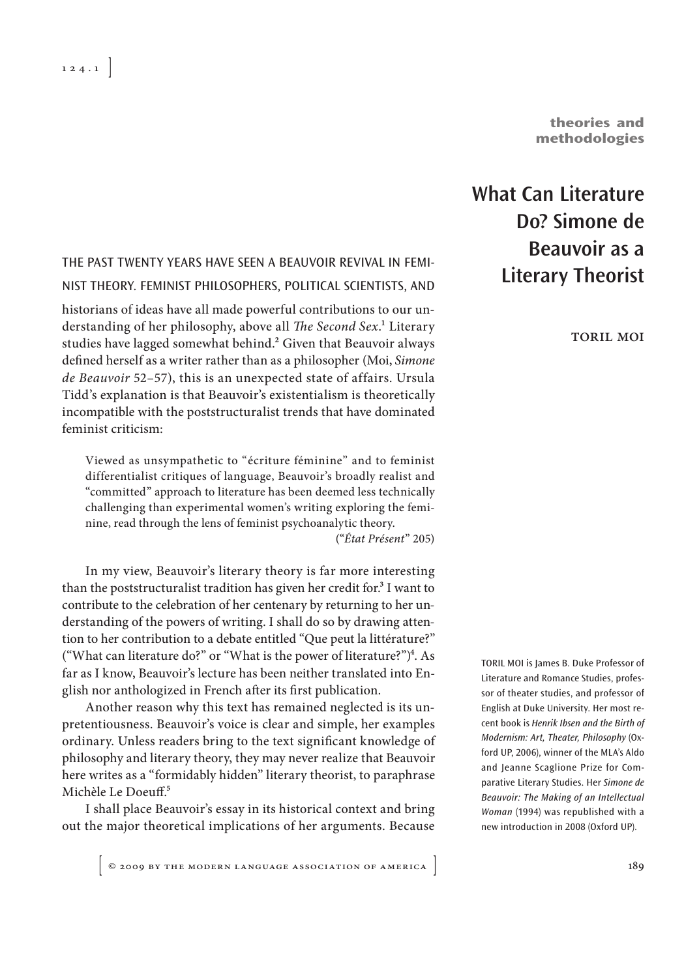**theories and methodologies**

## THE PAST TWENTY YEARS HAVE SEEN A BEAUVOIR REVIVAL IN FEMI-NIST THEORY. FEMINIST PHILOSOPHERS, POLITICAL SCIENTISTS, AND

historians of ideas have all made powerful contributions to our understanding of her philosophy, above all The Second Sex.<sup>1</sup> Literary studies have lagged somewhat behind.<sup>2</sup> Given that Beauvoir always defined herself as a writer rather than as a philosopher (Moi, Simone de Beauvoir 52–57), this is an unexpected state of affairs. Ursula Tidd's explanation is that Beauvoir's existentialism is theoretically incompatible with the poststructuralist trends that have dominated feminist criticism:

Viewed as unsympathetic to "écriture féminine" and to feminist differentialist critiques of language, Beauvoir's broadly realist and "committed" approach to literature has been deemed less technically challenging than experimental women's writing exploring the feminine, read through the lens of feminist psychoanalytic theory.

("État Présent" 205)

In my view, Beauvoir's literary theory is far more interesting than the poststructuralist tradition has given her credit for.<sup>3</sup> I want to contribute to the celebration of her centenary by returning to her understanding of the powers of writing. I shall do so by drawing attention to her contribution to a debate entitled "Que peut la littérature?" ("What can literature do?" or "What is the power of literature?")<sup>4</sup>. As far as I know, Beauvoir's lecture has been neither translated into English nor anthologized in French after its first publication.

Another reason why this text has remained neglected is its unpretentiousness. Beauvoir's voice is clear and simple, her examples ordinary. Unless readers bring to the text significant knowledge of philosophy and literary theory, they may never realize that Beauvoir here writes as a "formidably hidden" literary theorist, to paraphrase Michèle Le Doeuff.<sup>5</sup>

I shall place Beauvoir's essay in its historical context and bring out the major theoretical implications of her arguments. Because

 $\left[$  © 2009 by the modern language association of america  $\left]$ 

# **What Can Literature Do? Simone de Beauvoir as a Literary Theorist**

toril moi

TORIL MOI is James B. Duke Professor of Literature and Romance Studies, professor of theater studies, and professor of English at Duke University. Her most recent book is Henrik Ibsen and the Birth of Modernism: Art, Theater, Philosophy (Oxford UP, 2006), winner of the MLA's Aldo and Jeanne Scaglione Prize for Comparative Literary Studies. Her Simone de Beauvoir: The Making of an Intellectual Woman (1994) was republished with a new introduction in 2008 (Oxford UP).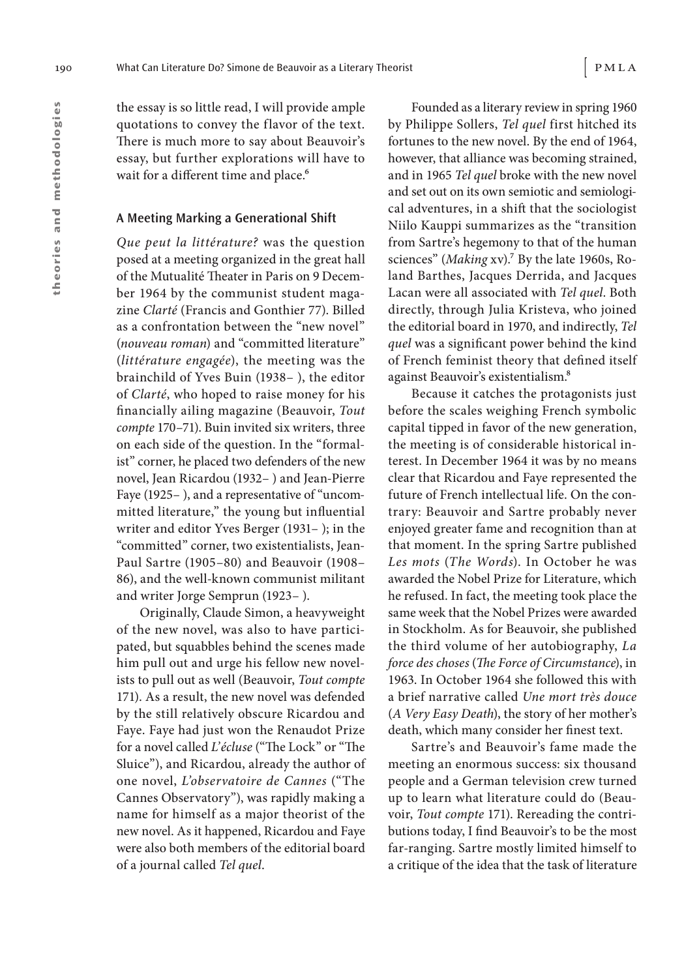the essay is so little read, I will provide ample quotations to convey the flavor of the text. There is much more to say about Beauvoir's essay, but further explorations will have to wait for a different time and place.<sup>6</sup>

#### **A Meeting Marking a Generational Shift**

Que peut la littérature? was the question posed at a meeting organized in the great hall of the Mutualité Theater in Paris on 9 December 1964 by the communist student magazine Clarté (Francis and Gonthier 77). Billed as a confrontation between the "new novel" (nouveau roman) and "committed literature" (littérature engagée), the meeting was the brainchild of Yves Buin (1938– ), the editor of Clarté, who hoped to raise money for his financially ailing magazine (Beauvoir, Tout compte 170–71). Buin invited six writers, three on each side of the question. In the "formalist" corner, he placed two defenders of the new novel, Jean Ricardou (1932– ) and Jean- Pierre Faye (1925– ), and a representative of "uncommitted literature," the young but influential writer and editor Yves Berger (1931– ); in the "committed" corner, two existentialists, Jean-Paul Sartre (1905–80) and Beauvoir (1908– 86), and the well-known communist militant and writer Jorge Semprun (1923– ).

Originally, Claude Simon, a heavyweight of the new novel, was also to have participated, but squabbles behind the scenes made him pull out and urge his fellow new novelists to pull out as well (Beauvoir, Tout compte 171). As a result, the new novel was defended by the still relatively obscure Ricardou and Faye. Faye had just won the Renaudot Prize for a novel called L'écluse ("The Lock" or "The Sluice"), and Ricardou, already the author of one novel, L'observatoire de Cannes ("The Cannes Observatory"), was rapidly making a name for himself as a major theorist of the new novel. As it happened, Ricardou and Faye were also both members of the editorial board of a journal called Tel quel.

Founded as a literary review in spring 1960 by Philippe Sollers, Tel quel first hitched its fortunes to the new novel. By the end of 1964, however, that alliance was becoming strained, and in 1965 Tel quel broke with the new novel and set out on its own semiotic and semiological adventures, in a shift that the sociologist Niilo Kauppi summarizes as the "transition from Sartre's hegemony to that of the human sciences" (Making xv).<sup>7</sup> By the late 1960s, Roland Barthes, Jacques Derrida, and Jacques Lacan were all associated with Tel quel. Both directly, through Julia Kristeva, who joined the editorial board in 1970, and indirectly, Tel quel was a significant power behind the kind of French feminist theory that defined itself against Beauvoir's existentialism.8

Because it catches the protagonists just before the scales weighing French symbolic capital tipped in favor of the new generation, the meeting is of considerable historical interest. In December 1964 it was by no means clear that Ricardou and Faye represented the future of French intellectual life. On the contrary: Beauvoir and Sartre probably never enjoyed greater fame and recognition than at that moment. In the spring Sartre published Les mots (The Words). In October he was awarded the Nobel Prize for Literature, which he refused. In fact, the meeting took place the same week that the Nobel Prizes were awarded in Stockholm. As for Beauvoir, she published the third volume of her autobiography, La force des choses (The Force of Circumstance), in 1963. In October 1964 she followed this with a brief narrative called Une mort très douce (A Very Easy Death), the story of her mother's death, which many consider her finest text.

Sartre's and Beauvoir's fame made the meeting an enormous success: six thousand people and a German television crew turned up to learn what literature could do (Beauvoir, Tout compte 171). Rereading the contributions today, I find Beauvoir's to be the most far- ranging. Sartre mostly limited himself to a critique of the idea that the task of literature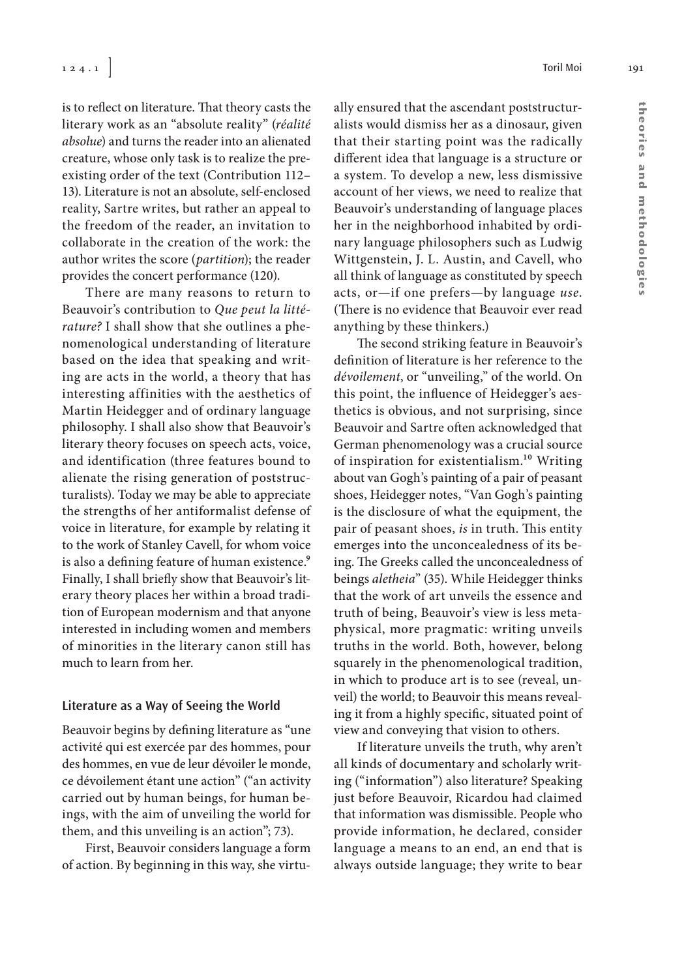is to reflect on literature. That theory casts the literary work as an "absolute reality" (réalité absolue) and turns the reader into an alienated creature, whose only task is to realize the preexisting order of the text (Contribution 112– 13). Literature is not an absolute, self-enclosed reality, Sartre writes, but rather an appeal to the freedom of the reader, an invitation to collaborate in the creation of the work: the author writes the score (partition); the reader provides the concert performance (120).

There are many reasons to return to Beauvoir's contribution to Que peut la littérature? I shall show that she outlines a phenomenological understanding of literature based on the idea that speaking and writing are acts in the world, a theory that has interesting affinities with the aesthetics of Martin Heidegger and of ordinary language philosophy. I shall also show that Beauvoir's literary theory focuses on speech acts, voice, and identification (three features bound to alienate the rising generation of poststructuralists). Today we may be able to appreciate the strengths of her antiformalist defense of voice in literature, for example by relating it to the work of Stanley Cavell, for whom voice is also a defining feature of human existence.<sup>9</sup> Finally, I shall briefly show that Beauvoir's literary theory places her within a broad tradition of European modernism and that anyone interested in including women and members of minorities in the literary canon still has much to learn from her.

#### **Literature as a Way of Seeing the World**

Beauvoir begins by defining literature as "une activité qui est exercée par des hommes, pour des hommes, en vue de leur dévoiler le monde, ce dévoilement étant une action" ("an activity carried out by human beings, for human beings, with the aim of unveiling the world for them, and this unveiling is an action"; 73).

First, Beauvoir considers language a form of action. By beginning in this way, she virtually ensured that the ascendant poststructuralists would dismiss her as a dinosaur, given that their starting point was the radically different idea that language is a structure or a system. To develop a new, less dismissive account of her views, we need to realize that Beauvoir's understanding of language places her in the neighborhood inhabited by ordinary language philosophers such as Ludwig Wittgenstein, J. L. Austin, and Cavell, who all think of language as constituted by speech acts, or—if one prefers—by language use. (There is no evidence that Beauvoir ever read anything by these thinkers.)

The second striking feature in Beauvoir's definition of literature is her reference to the dévoilement, or "unveiling," of the world. On this point, the influence of Heidegger's aesthetics is obvious, and not surprising, since Beauvoir and Sartre often acknowledged that German phenomenology was a crucial source of inspiration for existentialism.<sup>10</sup> Writing about van Gogh's painting of a pair of peasant shoes, Heidegger notes, "Van Gogh's painting is the disclosure of what the equipment, the pair of peasant shoes, is in truth. This entity emerges into the unconcealedness of its being. The Greeks called the unconcealedness of beings aletheia" (35). While Heidegger thinks that the work of art unveils the essence and truth of being, Beauvoir's view is less metaphysical, more pragmatic: writing unveils truths in the world. Both, however, belong squarely in the phenomenological tradition, in which to produce art is to see (reveal, unveil) the world; to Beauvoir this means revealing it from a highly specific, situated point of view and conveying that vision to others.

If literature unveils the truth, why aren't all kinds of documentary and scholarly writing ("information") also literature? Speaking just before Beauvoir, Ricardou had claimed that information was dismissible. People who provide information, he declared, consider language a means to an end, an end that is always outside language; they write to bear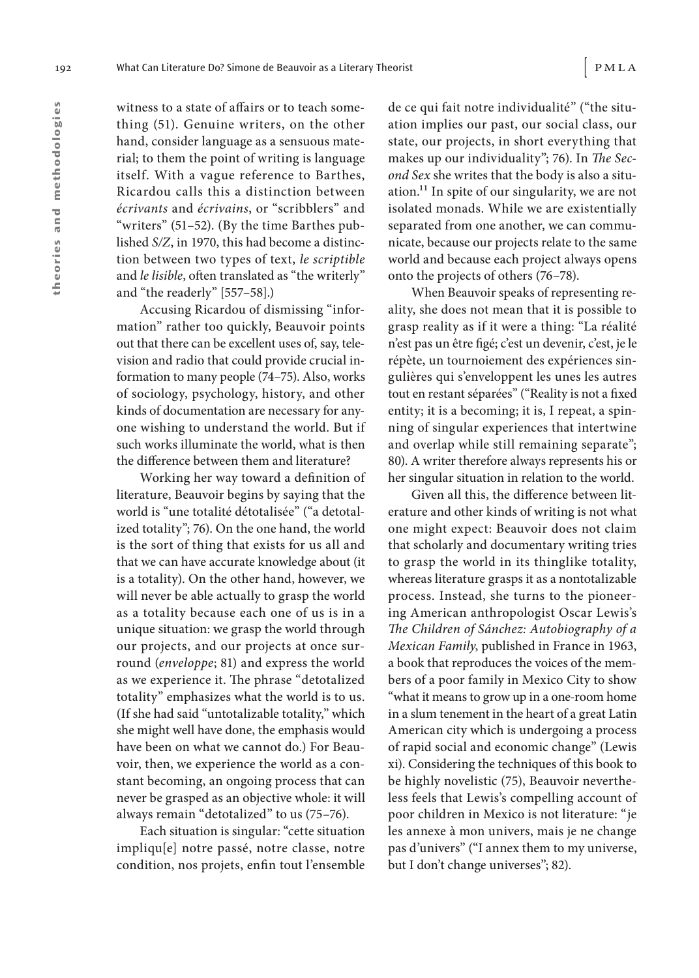witness to a state of affairs or to teach something (51). Genuine writers, on the other hand, consider language as a sensuous material; to them the point of writing is language itself. With a vague reference to Barthes, Ricardou calls this a distinction between écrivants and écrivains, or "scribblers" and "writers" (51–52). (By the time Barthes published S/Z, in 1970, this had become a distinction between two types of text, le scriptible and le lisible, often translated as "the writerly" and "the readerly" [557–58].)

Accusing Ricardou of dismissing "information" rather too quickly, Beauvoir points out that there can be excellent uses of, say, television and radio that could provide crucial information to many people (74–75). Also, works of sociology, psychology, history, and other kinds of documentation are necessary for anyone wishing to understand the world. But if such works illuminate the world, what is then the difference between them and literature?

Working her way toward a definition of literature, Beauvoir begins by saying that the world is "une totalité détotalisée" ("a detotalized totality"; 76). On the one hand, the world is the sort of thing that exists for us all and that we can have accurate knowledge about (it is a totality). On the other hand, however, we will never be able actually to grasp the world as a totality because each one of us is in a unique situation: we grasp the world through our projects, and our projects at once surround (enveloppe; 81) and express the world as we experience it. The phrase "detotalized totality" emphasizes what the world is to us. (If she had said "untotalizable totality," which she might well have done, the emphasis would have been on what we cannot do.) For Beauvoir, then, we experience the world as a constant becoming, an ongoing process that can never be grasped as an objective whole: it will always remain "detotalized" to us (75–76).

Each situation is singular: "cette situation impliqu[e] notre passé, notre classe, notre condition, nos projets, enfin tout l'ensemble

de ce qui fait notre individualité" ("the situation implies our past, our social class, our state, our projects, in short everything that makes up our individuality"; 76). In The Second Sex she writes that the body is also a situation.11 In spite of our singularity, we are not isolated monads. While we are existentially separated from one another, we can communicate, because our projects relate to the same world and because each project always opens onto the projects of others (76–78).

When Beauvoir speaks of representing reality, she does not mean that it is possible to grasp reality as if it were a thing: "La réalité n'est pas un être #gé; c'est un devenir, c'est, je le répète, un tournoiement des expériences singulières qui s'enveloppent les unes les autres tout en restant séparées" ("Reality is not a fixed entity; it is a becoming; it is, I repeat, a spinning of singular experiences that intertwine and overlap while still remaining separate"; 80). A writer therefore always represents his or her singular situation in relation to the world.

Given all this, the difference between literature and other kinds of writing is not what one might expect: Beauvoir does not claim that scholarly and documentary writing tries to grasp the world in its thinglike totality, whereas literature grasps it as a nontotalizable process. Instead, she turns to the pioneering American anthropologist Oscar Lewis's The Children of Sánchez: Autobiography of a Mexican Family, published in France in 1963, a book that reproduces the voices of the members of a poor family in Mexico City to show "what it means to grow up in a one- room home in a slum tenement in the heart of a great Latin American city which is undergoing a process of rapid social and economic change" (Lewis xi). Considering the techniques of this book to be highly novelistic (75), Beauvoir nevertheless feels that Lewis's compelling account of poor children in Mexico is not literature: "je les annexe à mon univers, mais je ne change pas d'univers" ("I annex them to my universe, but I don't change universes"; 82).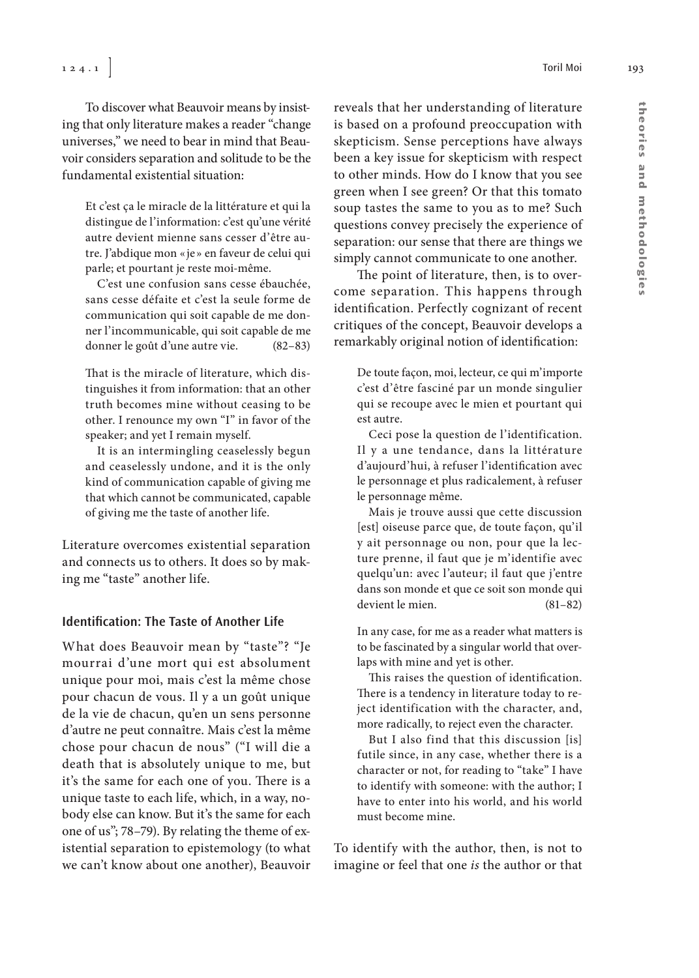To discover what Beauvoir means by insisting that only literature makes a reader "change universes," we need to bear in mind that Beauvoir considers separation and solitude to be the fundamental existential situation:

Et c'est ça le miracle de la littérature et qui la distingue de l'information: c'est qu'une vérité autre devient mienne sans cesser d'être autre. J'abdique mon « je » en faveur de celui qui parle; et pourtant je reste moi-même.

C'est une confusion sans cesse ébauchée, sans cesse défaite et c'est la seule forme de communication qui soit capable de me donner l'incommunicable, qui soit capable de me donner le goût d'une autre vie. (82–83)

That is the miracle of literature, which distinguishes it from information: that an other truth becomes mine without ceasing to be other. I renounce my own "I" in favor of the speaker; and yet I remain myself.

It is an intermingling ceaselessly begun and ceaselessly undone, and it is the only kind of communication capable of giving me that which cannot be communicated, capable of giving me the taste of another life.

Literature overcomes existential separation and connects us to others. It does so by making me "taste" another life.

#### **Identification: The Taste of Another Life**

What does Beauvoir mean by "taste"? "Je mourrai d'une mort qui est absolument unique pour moi, mais c'est la même chose pour chacun de vous. Il y a un goût unique de la vie de chacun, qu'en un sens personne d'autre ne peut connaître. Mais c'est la même chose pour chacun de nous" ("I will die a death that is absolutely unique to me, but it's the same for each one of you. There is a unique taste to each life, which, in a way, nobody else can know. But it's the same for each one of us"; 78–79). By relating the theme of existential separation to epistemology (to what we can't know about one another), Beauvoir reveals that her understanding of literature is based on a profound preoccupation with skepticism. Sense perceptions have always been a key issue for skepticism with respect to other minds. How do I know that you see green when I see green? Or that this tomato soup tastes the same to you as to me? Such questions convey precisely the experience of separation: our sense that there are things we simply cannot communicate to one another.

The point of literature, then, is to overcome separation. This happens through identification. Perfectly cognizant of recent critiques of the concept, Beauvoir develops a remarkably original notion of identification:

De toute façon, moi, lecteur, ce qui m'importe c'est d'être fasciné par un monde singulier qui se recoupe avec le mien et pourtant qui est autre.

Ceci pose la question de l'identification. Il y a une tendance, dans la littérature d'aujourd'hui, à refuser l'identification avec le personnage et plus radicalement, à refuser le personnage même.

Mais je trouve aussi que cette discussion [est] oiseuse parce que, de toute façon, qu'il y ait personnage ou non, pour que la lecture prenne, il faut que je m'identifie avec quelqu'un: avec l'auteur; il faut que j'entre dans son monde et que ce soit son monde qui devient le mien. (81–82)

In any case, for me as a reader what matters is to be fascinated by a singular world that overlaps with mine and yet is other.

This raises the question of identification. There is a tendency in literature today to reject identification with the character, and, more radically, to reject even the character.

But I also find that this discussion [is] futile since, in any case, whether there is a character or not, for reading to "take" I have to identify with someone: with the author; I have to enter into his world, and his world must become mine.

To identify with the author, then, is not to imagine or feel that one is the author or that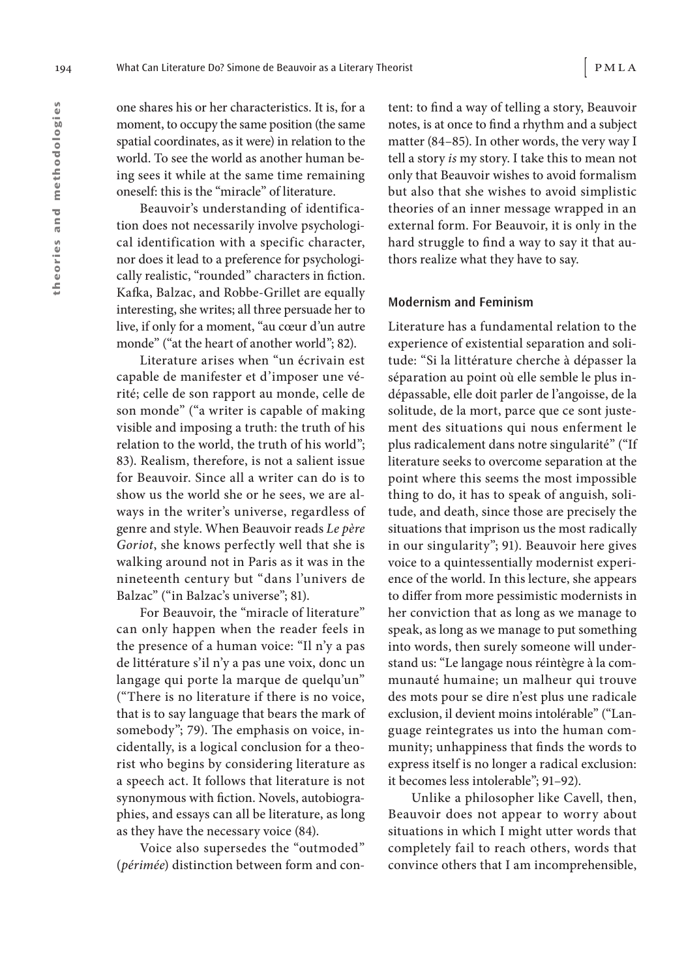one shares his or her characteristics. It is, for a moment, to occupy the same position (the same spatial coordinates, as it were) in relation to the world. To see the world as another human being sees it while at the same time remaining oneself: this is the "miracle" of literature.

Beauvoir's understanding of identification does not necessarily involve psychological identification with a specific character, nor does it lead to a preference for psychologically realistic, "rounded" characters in fiction. Kafka, Balzac, and Robbe-Grillet are equally interesting, she writes; all three persuade her to live, if only for a moment, "au cœur d'un autre monde" ("at the heart of another world"; 82).

Literature arises when "un écrivain est capable de manifester et d'imposer une vérité; celle de son rapport au monde, celle de son monde" ("a writer is capable of making visible and imposing a truth: the truth of his relation to the world, the truth of his world"; 83). Realism, therefore, is not a salient issue for Beauvoir. Since all a writer can do is to show us the world she or he sees, we are always in the writer's universe, regardless of genre and style. When Beauvoir reads Le père Goriot, she knows perfectly well that she is walking around not in Paris as it was in the nineteenth century but "dans l'univers de Balzac" ("in Balzac's universe"; 81).

For Beauvoir, the "miracle of literature" can only happen when the reader feels in the presence of a human voice: "Il n'y a pas de littérature s'il n'y a pas une voix, donc un langage qui porte la marque de quelqu'un" ("There is no literature if there is no voice, that is to say language that bears the mark of somebody"; 79). The emphasis on voice, incidentally, is a logical conclusion for a theorist who begins by considering literature as a speech act. It follows that literature is not synonymous with fiction. Novels, autobiographies, and essays can all be literature, as long as they have the necessary voice (84).

Voice also supersedes the "outmoded" (périmée) distinction between form and con-

tent: to find a way of telling a story, Beauvoir notes, is at once to find a rhythm and a subject matter (84–85). In other words, the very way I tell a story is my story. I take this to mean not only that Beauvoir wishes to avoid formalism but also that she wishes to avoid simplistic theories of an inner message wrapped in an external form. For Beauvoir, it is only in the hard struggle to find a way to say it that authors realize what they have to say.

#### **Modernism and Feminism**

Literature has a fundamental relation to the experience of existential separation and solitude: "Si la littérature cherche à dépasser la séparation au point où elle semble le plus indépassable, elle doit parler de l'angoisse, de la solitude, de la mort, parce que ce sont justement des situations qui nous enferment le plus radicalement dans notre singularité" ("If literature seeks to overcome separation at the point where this seems the most impossible thing to do, it has to speak of anguish, solitude, and death, since those are precisely the situations that imprison us the most radically in our singularity"; 91). Beauvoir here gives voice to a quintessentially modernist experience of the world. In this lecture, she appears to differ from more pessimistic modernists in her conviction that as long as we manage to speak, as long as we manage to put something into words, then surely someone will understand us: "Le langage nous réintègre à la communauté humaine; un malheur qui trouve des mots pour se dire n'est plus une radicale exclusion, il devient moins intolérable" ("Language reintegrates us into the human community; unhappiness that finds the words to express itself is no longer a radical exclusion: it becomes less intolerable"; 91–92).

Unlike a philosopher like Cavell, then, Beauvoir does not appear to worry about situations in which I might utter words that completely fail to reach others, words that convince others that I am incomprehensible,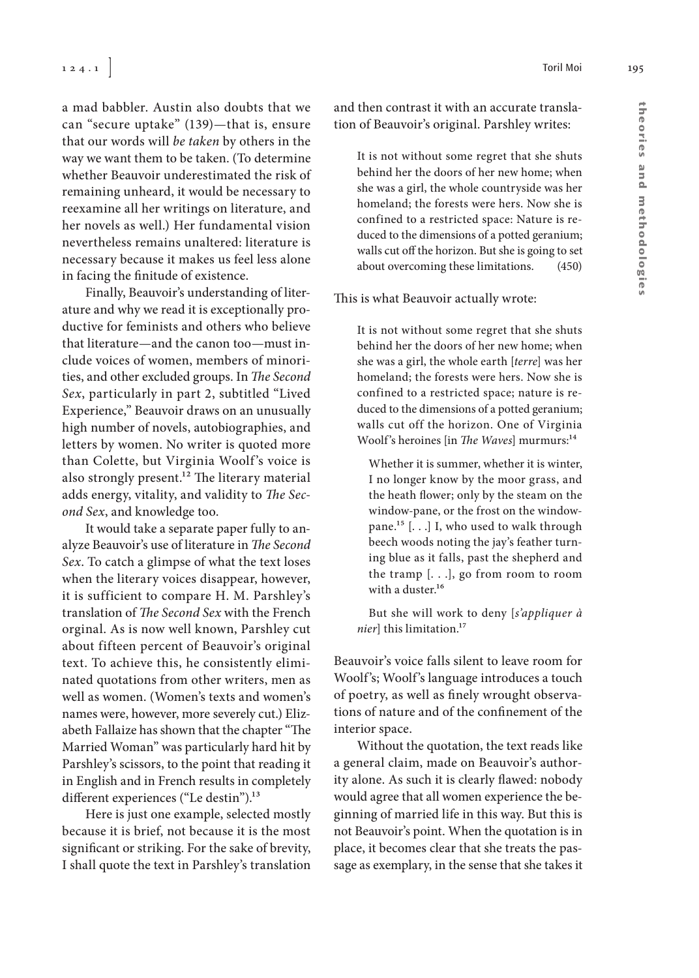a mad babbler. Austin also doubts that we can "secure uptake" (139)—that is, ensure that our words will be taken by others in the way we want them to be taken. (To determine whether Beauvoir underestimated the risk of remaining unheard, it would be necessary to reexamine all her writings on literature, and her novels as well.) Her fundamental vision nevertheless remains unaltered: literature is necessary because it makes us feel less alone in facing the finitude of existence.

Finally, Beauvoir's understanding of literature and why we read it is exceptionally productive for feminists and others who believe that literature—and the canon too—must include voices of women, members of minorities, and other excluded groups. In The Second Sex, particularly in part 2, subtitled "Lived Experience," Beauvoir draws on an unusually high number of novels, autobiographies, and letters by women. No writer is quoted more than Colette, but Virginia Woolf's voice is also strongly present.<sup>12</sup> The literary material adds energy, vitality, and validity to The Second Sex, and knowledge too.

It would take a separate paper fully to analyze Beauvoir's use of literature in The Second Sex. To catch a glimpse of what the text loses when the literary voices disappear, however, it is sufficient to compare H. M. Parshley's translation of The Second Sex with the French orginal. As is now well known, Parshley cut about fifteen percent of Beauvoir's original text. To achieve this, he consistently eliminated quotations from other writers, men as well as women. (Women's texts and women's names were, however, more severely cut.) Elizabeth Fallaize has shown that the chapter "The Married Woman" was particularly hard hit by Parshley's scissors, to the point that reading it in English and in French results in completely different experiences ("Le destin").<sup>13</sup>

Here is just one example, selected mostly because it is brief, not because it is the most significant or striking. For the sake of brevity, I shall quote the text in Parshley's translation

and then contrast it with an accurate translation of Beauvoir's original. Parshley writes:

It is not without some regret that she shuts behind her the doors of her new home; when she was a girl, the whole countryside was her homeland; the forests were hers. Now she is confined to a restricted space: Nature is reduced to the dimensions of a potted geranium; walls cut off the horizon. But she is going to set about overcoming these limitations. (450)

This is what Beauvoir actually wrote:

It is not without some regret that she shuts behind her the doors of her new home; when she was a girl, the whole earth [terre] was her homeland; the forests were hers. Now she is confined to a restricted space; nature is reduced to the dimensions of a potted geranium; walls cut off the horizon. One of Virginia Woolf's heroines [in The Waves] murmurs:<sup>14</sup>

Whether it is summer, whether it is winter, I no longer know by the moor grass, and the heath flower; only by the steam on the window-pane, or the frost on the windowpane.<sup>15</sup> [ $\dots$ ] I, who used to walk through beech woods noting the jay's feather turning blue as it falls, past the shepherd and the tramp [. . .], go from room to room with a duster.<sup>16</sup>

But she will work to deny [s'appliquer à nier] this limitation.<sup>17</sup>

Beauvoir's voice falls silent to leave room for Woolf's; Woolf's language introduces a touch of poetry, as well as finely wrought observations of nature and of the confinement of the interior space.

Without the quotation, the text reads like a general claim, made on Beauvoir's authority alone. As such it is clearly flawed: nobody would agree that all women experience the beginning of married life in this way. But this is not Beauvoir's point. When the quotation is in place, it becomes clear that she treats the passage as exemplary, in the sense that she takes it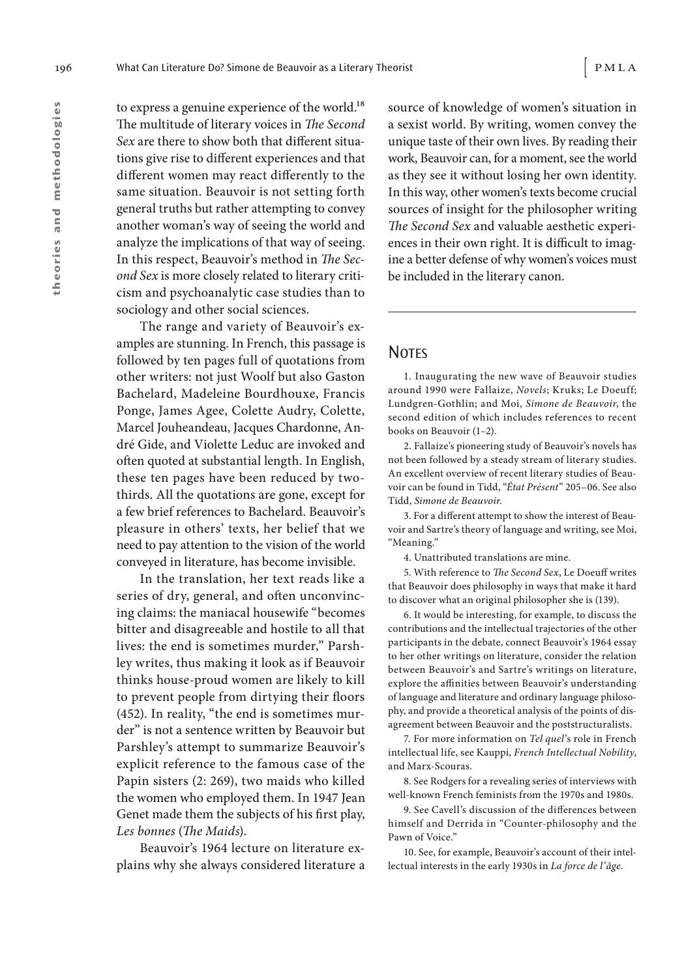to express a genuine experience of the world.<sup>18</sup> The multitude of literary voices in The Second Sex are there to show both that different situations give rise to different experiences and that different women may react differently to the same situation. Beauvoir is not setting forth general truths but rather attempting to convey another woman's way of seeing the world and analyze the implications of that way of seeing. In this respect, Beauvoir's method in The Second Sex is more closely related to literary criticism and psychoanalytic case studies than to sociology and other social sciences.

The range and variety of Beauvoir's examples are stunning. In French, this passage is followed by ten pages full of quotations from other writers: not just Woolf but also Gaston Bachelard, Madeleine Bourdhouxe, Francis Ponge, James Agee, Colette Audry, Colette, Marcel Jouheandeau, Jacques Chardonne, André Gide, and Violette Leduc are invoked and often quoted at substantial length. In English, these ten pages have been reduced by twothirds. All the quotations are gone, except for a few brief references to Bachelard. Beauvoir's pleasure in others' texts, her belief that we need to pay attention to the vision of the world conveyed in literature, has become invisible.

In the translation, her text reads like a series of dry, general, and often unconvincing claims: the maniacal housewife "becomes bitter and disagreeable and hostile to all that lives: the end is sometimes murder," Parshley writes, thus making it look as if Beauvoir thinks house-proud women are likely to kill to prevent people from dirtying their floors (452). In reality, "the end is sometimes murder" is not a sentence written by Beauvoir but Parshley's attempt to summarize Beauvoir's explicit reference to the famous case of the Papin sisters (2: 269), two maids who killed the women who employed them. In 1947 Jean Genet made them the subjects of his first play, Les bonnes (The Maids).

Beauvoir's 1964 lecture on literature explains why she always considered literature a source of knowledge of women's situation in a sexist world. By writing, women convey the unique taste of their own lives. By reading their work, Beauvoir can, for a moment, see the world as they see it without losing her own identity. In this way, other women's texts become crucial sources of insight for the philosopher writing The Second Sex and valuable aesthetic experiences in their own right. It is difficult to imagine a better defense of why women's voices must be included in the literary canon.

### **NOTES**

1. Inaugurating the new wave of Beauvoir studies around 1990 were Fallaize, Novels; Kruks; Le Doeuff; Lundgren- Gothlin; and Moi, Simone de Beauvoir, the second edition of which includes references to recent books on Beauvoir (1–2).

2. Fallaize's pioneering study of Beauvoir's novels has not been followed by a steady stream of literary studies. An excellent overview of recent literary studies of Beauvoir can be found in Tidd, "État Présent" 205–06. See also Tidd, Simone de Beauvoir.

3. For a different attempt to show the interest of Beauvoir and Sartre's theory of language and writing, see Moi, "Meaning."

4. Unattributed translations are mine.

5. With reference to The Second Sex, Le Doeuff writes that Beauvoir does philosophy in ways that make it hard to discover what an original philosopher she is (139).

6. It would be interesting, for example, to discuss the contributions and the intellectual trajectories of the other participants in the debate, connect Beauvoir's 1964 essay to her other writings on literature, consider the relation between Beauvoir's and Sartre's writings on literature, explore the affinities between Beauvoir's understanding of language and literature and ordinary language philosophy, and provide a theoretical analysis of the points of disagreement between Beauvoir and the poststructuralists.

7. For more information on Tel quel's role in French intellectual life, see Kauppi, French Intellectual Nobility, and Marx-Scouras.

8. See Rodgers for a revealing series of interviews with well- known French feminists from the 1970s and 1980s.

9. See Cavell's discussion of the differences between himself and Derrida in "Counter- philosophy and the Pawn of Voice."

10. See, for example, Beauvoir's account of their intellectual interests in the early 1930s in La force de l'âge.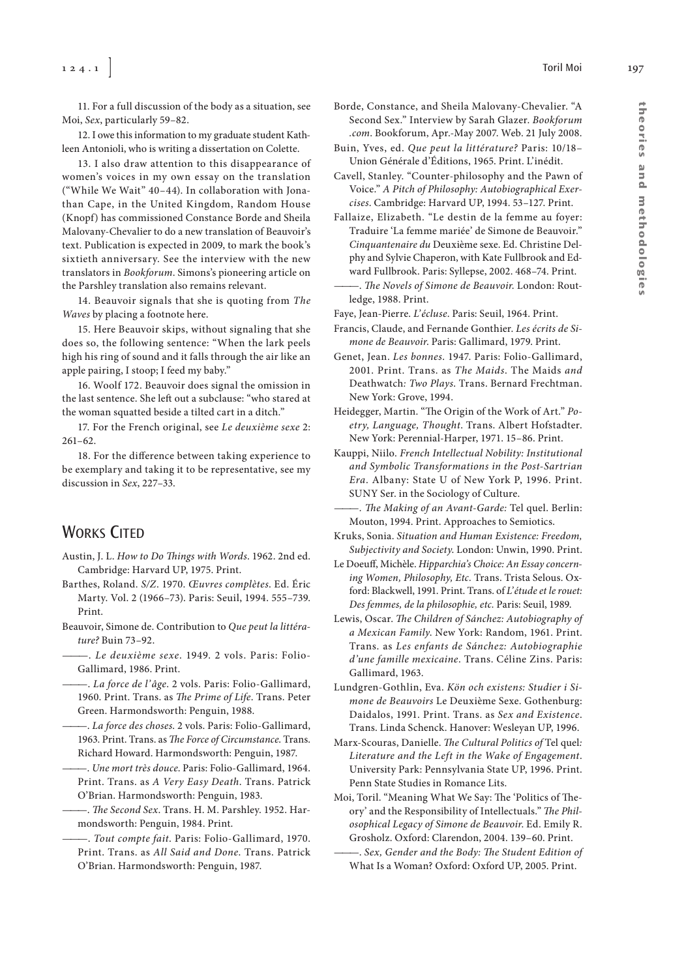1 2 4 . 1 ] Toril Moi 197

11. For a full discussion of the body as a situation, see Moi, Sex, particularly 59–82.

12. I owe this information to my graduate student Kathleen Antonioli, who is writing a dissertation on Colette.

13. I also draw attention to this disappearance of women's voices in my own essay on the translation ("While We Wait" 40–44). In collaboration with Jonathan Cape, in the United Kingdom, Random House (Knopf) has commissioned Constance Borde and Sheila Malovany- Chevalier to do a new translation of Beauvoir's text. Publication is expected in 2009, to mark the book's sixtieth anniversary. See the interview with the new translators in Bookforum. Simons's pioneering article on the Parshley translation also remains relevant.

14. Beauvoir signals that she is quoting from The Waves by placing a footnote here.

15. Here Beauvoir skips, without signaling that she does so, the following sentence: "When the lark peels high his ring of sound and it falls through the air like an apple pairing, I stoop; I feed my baby."

16. Woolf 172. Beauvoir does signal the omission in the last sentence. She left out a subclause: "who stared at the woman squatted beside a tilted cart in a ditch."

17. For the French original, see Le deuxième sexe 2:  $261 - 62$ .

18. For the difference between taking experience to be exemplary and taking it to be representative, see my discussion in Sex, 227–33.

## **WORKS CITED**

- Austin, J. L. How to Do Things with Words. 1962. 2nd ed. Cambridge: Harvard UP, 1975. Print.
- Barthes, Roland. S/Z. 1970. Œuvres complètes. Ed. Éric Marty. Vol. 2 (1966–73). Paris: Seuil, 1994. 555–739. Print.
- Beauvoir, Simone de. Contribution to Que peut la littérature? Buin 73–92.
- ———. Le deuxième sexe. 1949. 2 vols. Paris: Folio-Gallimard, 1986. Print.
- ———. La force de l'âge. 2 vols. Paris: Folio-Gallimard, 1960. Print. Trans. as The Prime of Life. Trans. Peter Green. Harmondsworth: Penguin, 1988.
- . La force des choses. 2 vols. Paris: Folio-Gallimard, 1963. Print. Trans. as The Force of Circumstance. Trans. Richard Howard. Harmondsworth: Penguin, 1987.
- -. Une mort très douce. Paris: Folio-Gallimard, 1964. Print. Trans. as A Very Easy Death. Trans. Patrick O'Brian. Harmondsworth: Penguin, 1983.
- -. The Second Sex. Trans. H. M. Parshley. 1952. Harmondsworth: Penguin, 1984. Print.
- -. Tout compte fait. Paris: Folio-Gallimard, 1970. Print. Trans. as All Said and Done. Trans. Patrick O'Brian. Harmondsworth: Penguin, 1987.
- Borde, Constance, and Sheila Malovany- Chevalier. "A Second Sex." Interview by Sarah Glazer. Bookforum .com. Bookforum, Apr.-May 2007. Web. 21 July 2008.
- Buin, Yves, ed. Que peut la littérature? Paris: 10/18– Union Générale d'Éditions, 1965. Print. L'inédit.
- Cavell, Stanley. "Counter- philosophy and the Pawn of Voice." A Pitch of Philosophy: Autobiographical Exercises. Cambridge: Harvard UP, 1994. 53–127. Print.
- Fallaize, Elizabeth. "Le destin de la femme au foyer: Traduire 'La femme mariée' de Simone de Beauvoir." Cinquantenaire du Deuxième sexe. Ed. Christine Delphy and Sylvie Chaperon, with Kate Fullbrook and Edward Fullbrook. Paris: Syllepse, 2002. 468–74. Print. The Novels of Simone de Beauvoir. London: Routledge, 1988. Print.

Faye, Jean-Pierre. L'écluse. Paris: Seuil, 1964. Print.

- Francis, Claude, and Fernande Gonthier. Les écrits de Simone de Beauvoir. Paris: Gallimard, 1979. Print.
- Genet, Jean. Les bonnes. 1947. Paris: Folio-Gallimard, 2001. Print. Trans. as The Maids. The Maids and Deathwatch: Two Plays. Trans. Bernard Frechtman. New York: Grove, 1994.
- Heidegger, Martin. "The Origin of the Work of Art." Poetry, Language, Thought. Trans. Albert Hofstadter. New York: Perennial- Harper, 1971. 15–86. Print.
- Kauppi, Niilo. French Intellectual Nobility: Institutional and Symbolic Transformations in the Post-Sartrian Era. Albany: State U of New York P, 1996. Print. SUNY Ser. in the Sociology of Culture.
	- -. The Making of an Avant-Garde: Tel quel. Berlin: Mouton, 1994. Print. Approaches to Semiotics.
- Kruks, Sonia. Situation and Human Existence: Freedom, Subjectivity and Society. London: Unwin, 1990. Print.
- Le Doeuff, Michèle. Hipparchia's Choice: An Essay concerning Women, Philosophy, Etc. Trans. Trista Selous. Oxford: Blackwell, 1991. Print. Trans. of L'étude et le rouet: Des femmes, de la philosophie, etc. Paris: Seuil, 1989.
- Lewis, Oscar. The Children of Sánchez: Autobiography of a Mexican Family. New York: Random, 1961. Print. Trans. as Les enfants de Sánchez: Autobiographie d'une famille mexicaine. Trans. Céline Zins. Paris: Gallimard, 1963.
- Lundgren- Gothlin, Eva. Kön och existens: Studier i Simone de Beauvoirs Le Deuxième Sexe. Gothenburg: Daidalos, 1991. Print. Trans. as Sex and Existence. Trans. Linda Schenck. Hanover: Wesleyan UP, 1996.
- Marx-Scouras, Danielle. The Cultural Politics of Tel quel: Literature and the Left in the Wake of Engagement. University Park: Pennsylvania State UP, 1996. Print. Penn State Studies in Romance Lits.
- Moi, Toril. "Meaning What We Say: The 'Politics of Theory' and the Responsibility of Intellectuals." The Philosophical Legacy of Simone de Beauvoir. Ed. Emily R. Grosholz. Oxford: Clarendon, 2004. 139–60. Print.
	- Sex, Gender and the Body: The Student Edition of What Is a Woman? Oxford: Oxford UP, 2005. Print.